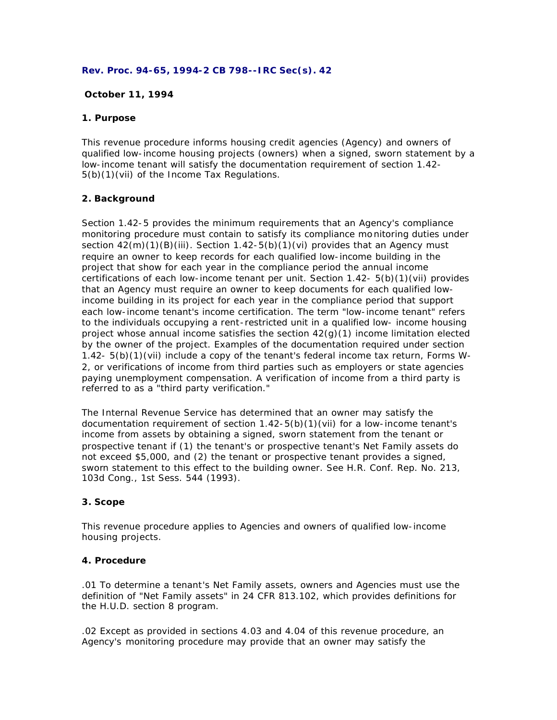#### **Rev. Proc. 94-65, 1994-2 CB 798--IRC Sec(s). 42**

## **October 11, 1994**

### **1. Purpose**

This revenue procedure informs housing credit agencies (Agency) and owners of qualified low-income housing projects (owners) when a signed, sworn statement by a low-income tenant will satisfy the documentation requirement of section 1.42- 5(b)(1)(vii) of the Income Tax Regulations.

### **2. Background**

Section 1.42-5 provides the minimum requirements that an Agency's compliance monitoring procedure must contain to satisfy its compliance mo nitoring duties under section  $42(m)(1)(B)(iii)$ . Section  $1.42-5(b)(1)(vi)$  provides that an Agency must require an owner to keep records for each qualified low-income building in the project that show for each year in the compliance period the annual income certifications of each low-income tenant per unit. Section 1.42- 5(b)(1)(vii) provides that an Agency must require an owner to keep documents for each qualified lowincome building in its project for each year in the compliance period that support each low-income tenant's income certification. The term "low-income tenant" refers to the individuals occupying a rent-restricted unit in a qualified low- income housing project whose annual income satisfies the section  $42(q)(1)$  income limitation elected by the owner of the project. Examples of the documentation required under section 1.42- 5(b)(1)(vii) include a copy of the tenant's federal income tax return, Forms W-2, or verifications of income from third parties such as employers or state agencies paying unemployment compensation. A verification of income from a third party is referred to as a "third party verification."

The Internal Revenue Service has determined that an owner may satisfy the documentation requirement of section 1.42-5(b)(1)(vii) for a low-income tenant's income from assets by obtaining a signed, sworn statement from the tenant or prospective tenant if (1) the tenant's or prospective tenant's Net Family assets do not exceed \$5,000, and (2) the tenant or prospective tenant provides a signed, sworn statement to this effect to the building owner. See H.R. Conf. Rep. No. 213, 103d Cong., 1st Sess. 544 (1993).

# **3. Scope**

This revenue procedure applies to Agencies and owners of qualified low-income housing projects.

## **4. Procedure**

.01 To determine a tenant's Net Family assets, owners and Agencies must use the definition of "Net Family assets" in 24 CFR 813.102, which provides definitions for the H.U.D. section 8 program.

.02 Except as provided in sections 4.03 and 4.04 of this revenue procedure, an Agency's monitoring procedure may provide that an owner may satisfy the